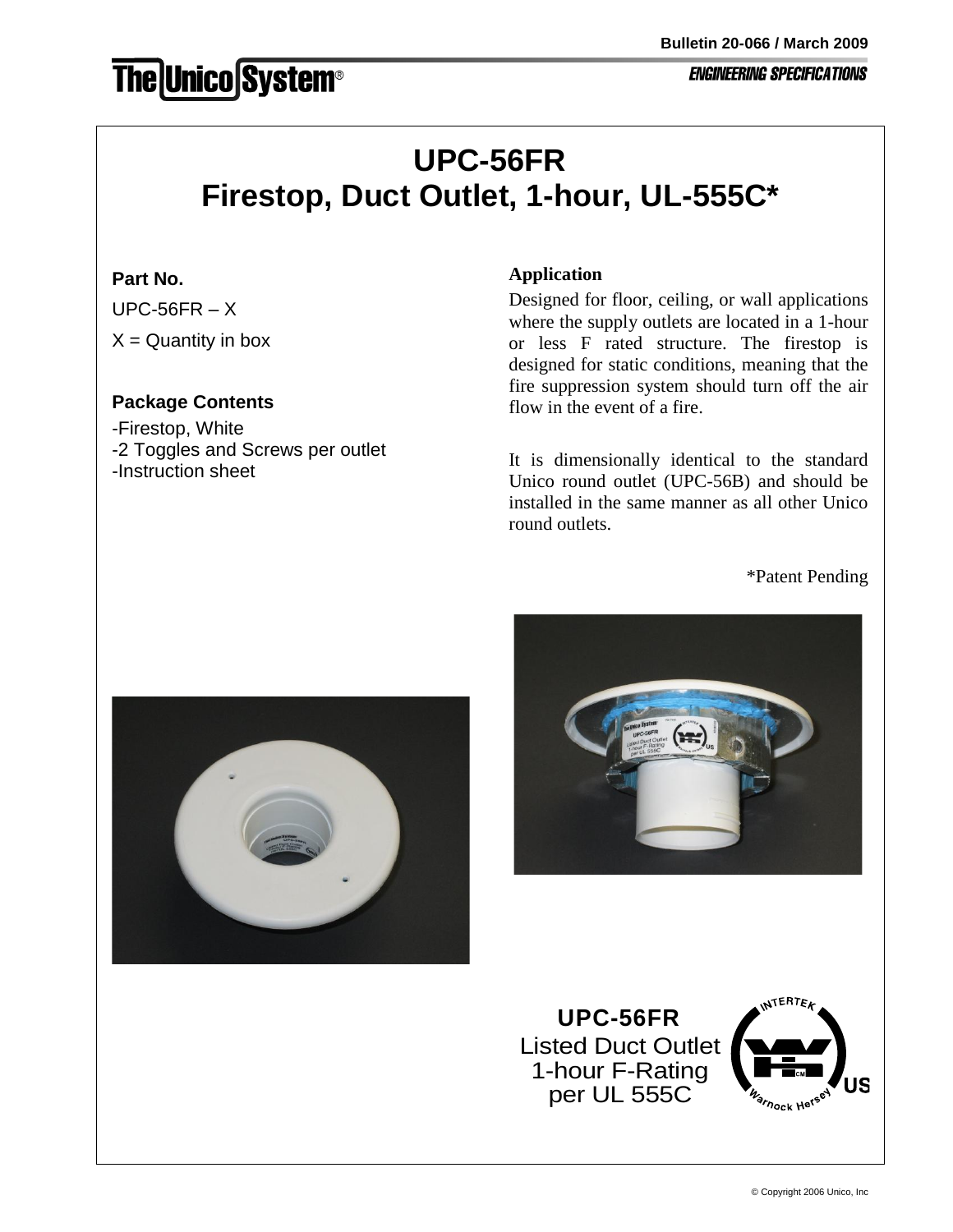# **The Unico System®**

#### **ENGINEERING SPECIFICATIONS**

# **UPC-56FR Firestop, Duct Outlet, 1-hour, UL-555C\***

## **Part No.**

 $UPC-56FR - X$  $X =$  Quantity in box

# **Package Contents**

-Firestop, White -2 Toggles and Screws per outlet -Instruction sheet

#### **Application**

Designed for floor, ceiling, or wall applications where the supply outlets are located in a 1-hour or less F rated structure. The firestop is designed for static conditions, meaning that the fire suppression system should turn off the air flow in the event of a fire.

It is dimensionally identical to the standard Unico round outlet (UPC-56B) and should be installed in the same manner as all other Unico round outlets.

\*Patent Pending





Listed Duct Outlet 1-hour F-Rating per UL 555C **UPC-56FR**